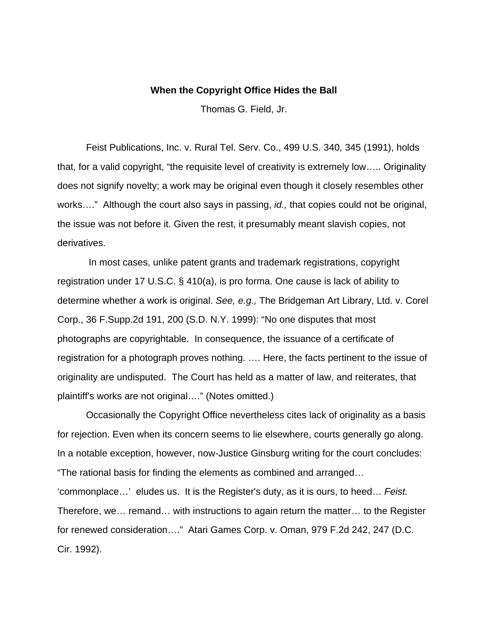## **When the Copyright Office Hides the Ball**

Thomas G. Field, Jr.

 Feist Publications, Inc. v. Rural Tel. Serv. Co., 499 U.S. 340, 345 (1991), holds that, for a valid copyright, "the requisite level of creativity is extremely low….. Originality does not signify novelty; a work may be original even though it closely resembles other works…." Although the court also says in passing, *id.,* that copies could not be original, the issue was not before it. Given the rest, it presumably meant slavish copies, not derivatives.

 In most cases, unlike patent grants and trademark registrations, copyright registration under 17 U.S.C. § 410(a), is pro forma. One cause is lack of ability to determine whether a work is original. *See, e.g.,* The Bridgeman Art Library, Ltd. v. Corel Corp., 36 F.Supp.2d 191, 200 (S.D. N.Y. 1999): "No one disputes that most photographs are copyrightable. In consequence, the issuance of a certificate of registration for a photograph proves nothing. …. Here, the facts pertinent to the issue of originality are undisputed. The Court has held as a matter of law, and reiterates, that plaintiff's works are not original…." (Notes omitted.)

 Occasionally the Copyright Office nevertheless cites lack of originality as a basis for rejection. Even when its concern seems to lie elsewhere, courts generally go along. In a notable exception, however, now-Justice Ginsburg writing for the court concludes: "The rational basis for finding the elements as combined and arranged… 'commonplace…' eludes us. It is the Register's duty, as it is ours, to heed… *Feist.* Therefore, we… remand… with instructions to again return the matter… to the Register for renewed consideration…." Atari Games Corp. v. Oman, 979 F.2d 242, 247 (D.C. Cir. 1992).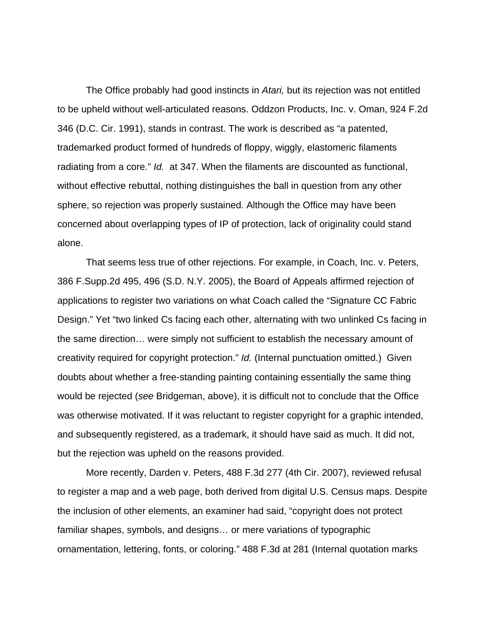The Office probably had good instincts in *Atari,* but its rejection was not entitled to be upheld without well-articulated reasons. Oddzon Products, Inc. v. Oman, 924 F.2d 346 (D.C. Cir. 1991), stands in contrast. The work is described as "a patented, trademarked product formed of hundreds of floppy, wiggly, elastomeric filaments radiating from a core." *Id.* at 347. When the filaments are discounted as functional, without effective rebuttal, nothing distinguishes the ball in question from any other sphere, so rejection was properly sustained. Although the Office may have been concerned about overlapping types of IP of protection, lack of originality could stand alone.

 That seems less true of other rejections. For example, in Coach, Inc. v. Peters, 386 F.Supp.2d 495, 496 (S.D. N.Y. 2005), the Board of Appeals affirmed rejection of applications to register two variations on what Coach called the "Signature CC Fabric Design." Yet "two linked Cs facing each other, alternating with two unlinked Cs facing in the same direction… were simply not sufficient to establish the necessary amount of creativity required for copyright protection." *Id.* (Internal punctuation omitted.) Given doubts about whether a free-standing painting containing essentially the same thing would be rejected (*see* Bridgeman, above), it is difficult not to conclude that the Office was otherwise motivated. If it was reluctant to register copyright for a graphic intended, and subsequently registered, as a trademark, it should have said as much. It did not, but the rejection was upheld on the reasons provided.

 More recently, Darden v. Peters, 488 F.3d 277 (4th Cir. 2007), reviewed refusal to register a map and a web page, both derived from digital U.S. Census maps. Despite the inclusion of other elements, an examiner had said, "copyright does not protect familiar shapes, symbols, and designs… or mere variations of typographic ornamentation, lettering, fonts, or coloring." 488 F.3d at 281 (Internal quotation marks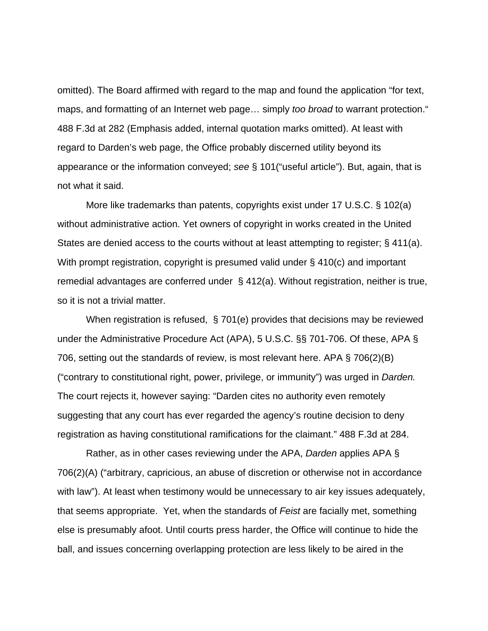omitted). The Board affirmed with regard to the map and found the application "for text, maps, and formatting of an Internet web page… simply *too broad* to warrant protection." 488 F.3d at 282 (Emphasis added, internal quotation marks omitted). At least with regard to Darden's web page, the Office probably discerned utility beyond its appearance or the information conveyed; *see* § 101("useful article"). But, again, that is not what it said.

 More like trademarks than patents, copyrights exist under 17 U.S.C. § 102(a) without administrative action. Yet owners of copyright in works created in the United States are denied access to the courts without at least attempting to register; § 411(a). With prompt registration, copyright is presumed valid under § 410(c) and important remedial advantages are conferred under § 412(a). Without registration, neither is true, so it is not a trivial matter.

 When registration is refused, § 701(e) provides that decisions may be reviewed under the Administrative Procedure Act (APA), 5 U.S.C. §§ 701-706. Of these, APA § 706, setting out the standards of review, is most relevant here. APA § 706(2)(B) ("contrary to constitutional right, power, privilege, or immunity") was urged in *Darden.* The court rejects it, however saying: "Darden cites no authority even remotely suggesting that any court has ever regarded the agency's routine decision to deny registration as having constitutional ramifications for the claimant." 488 F.3d at 284.

 Rather, as in other cases reviewing under the APA, *Darden* applies APA § 706(2)(A) ("arbitrary, capricious, an abuse of discretion or otherwise not in accordance with law"). At least when testimony would be unnecessary to air key issues adequately, that seems appropriate. Yet, when the standards of *Feist* are facially met, something else is presumably afoot. Until courts press harder, the Office will continue to hide the ball, and issues concerning overlapping protection are less likely to be aired in the